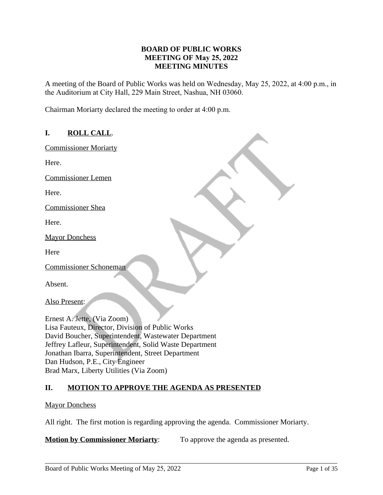## **BOARD OF PUBLIC WORKS MEETING OF May 25, 2022 MEETING MINUTES**

A meeting of the Board of Public Works was held on Wednesday, May 25, 2022, at 4:00 p.m., in the Auditorium at City Hall, 229 Main Street, Nashua, NH 03060.

Chairman Moriarty declared the meeting to order at 4:00 p.m.

# **I. ROLL CALL**.

Commissioner Moriarty

Here.

Commissioner Lemen

Here.

Commissioner Shea

Here.

Mayor Donchess

**Here** 

Commissioner Schoneman

Absent.

Also Present:

Ernest A. Jette, (Via Zoom) Lisa Fauteux, Director, Division of Public Works David Boucher, Superintendent, Wastewater Department Jeffrey Lafleur, Superintendent, Solid Waste Department Jonathan Ibarra, Superintendent, Street Department Dan Hudson, P.E., City Engineer Brad Marx, Liberty Utilities (Via Zoom)

# **II. MOTION TO APPROVE THE AGENDA AS PRESENTED**

### Mayor Donchess

All right. The first motion is regarding approving the agenda. Commissioner Moriarty.

\_\_\_\_\_\_\_\_\_\_\_\_\_\_\_\_\_\_\_\_\_\_\_\_\_\_\_\_\_\_\_\_\_\_\_\_\_\_\_\_\_\_\_\_\_\_\_\_\_\_\_\_\_\_\_\_\_\_\_\_\_\_\_\_\_\_\_\_\_\_\_\_\_\_\_\_\_\_\_\_\_\_\_\_\_

**Motion by Commissioner Moriarty:** To approve the agenda as presented.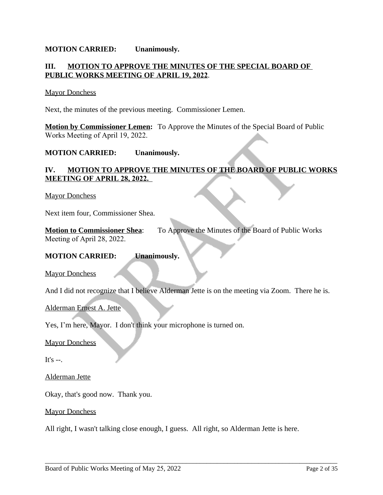### **MOTION CARRIED: Unanimously.**

## **III. MOTION TO APPROVE THE MINUTES OF THE SPECIAL BOARD OF PUBLIC WORKS MEETING OF APRIL 19, 2022**.

#### Mayor Donchess

Next, the minutes of the previous meeting. Commissioner Lemen.

**Motion by Commissioner Lemen:** To Approve the Minutes of the Special Board of Public Works Meeting of April 19, 2022.

### **MOTION CARRIED: Unanimously.**

## **IV. MOTION TO APPROVE THE MINUTES OF THE BOARD OF PUBLIC WORKS MEETING OF APRIL 28, 2022.**

#### Mayor Donchess

Next item four, Commissioner Shea.

| <b>Motion to Commissioner Shea:</b> | To Approve the Minutes of the Board of Public Works |
|-------------------------------------|-----------------------------------------------------|
| Meeting of April 28, 2022.          |                                                     |

#### **MOTION CARRIED: Unanimously.**

Mayor Donchess

And I did not recognize that I believe Alderman Jette is on the meeting via Zoom. There he is.

Alderman Ernest A. Jette

Yes, I'm here, Mayor. I don't think your microphone is turned on.

Mayor Donchess

It's  $-$ .

Alderman Jette

Okay, that's good now. Thank you.

**Mayor Donchess** 

All right, I wasn't talking close enough, I guess. All right, so Alderman Jette is here.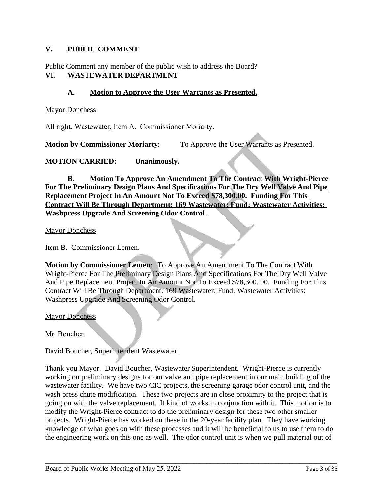# **V. PUBLIC COMMENT**

Public Comment any member of the public wish to address the Board? **VI. WASTEWATER DEPARTMENT**

# **A. Motion to Approve the User Warrants as Presented.**

**Mayor Donchess** 

All right, Wastewater, Item A. Commissioner Moriarty.

**Motion by Commissioner Moriarty:** To Approve the User Warrants as Presented.

### **MOTION CARRIED: Unanimously.**

**B. Motion To Approve An Amendment To The Contract With Wright-Pierce For The Preliminary Design Plans And Specifications For The Dry Well Valve And Pipe Replacement Project In An Amount Not To Exceed \$78,300.00. Funding For This Contract Will Be Through Department: 169 Wastewater; Fund: Wastewater Activities: Washpress Upgrade And Screening Odor Control.**

Mayor Donchess

Item B. Commissioner Lemen.

**Motion by Commissioner Lemen**: To Approve An Amendment To The Contract With Wright-Pierce For The Preliminary Design Plans And Specifications For The Dry Well Valve And Pipe Replacement Project In An Amount Not To Exceed \$78,300. 00. Funding For This Contract Will Be Through Department: 169 Wastewater; Fund: Wastewater Activities: Washpress Upgrade And Screening Odor Control.

**Mayor Donchess** 

Mr. Boucher.

### David Boucher, Superintendent Wastewater

Thank you Mayor. David Boucher, Wastewater Superintendent. Wright-Pierce is currently working on preliminary designs for our valve and pipe replacement in our main building of the wastewater facility. We have two CIC projects, the screening garage odor control unit, and the wash press chute modification. These two projects are in close proximity to the project that is going on with the valve replacement. It kind of works in conjunction with it. This motion is to modify the Wright-Pierce contract to do the preliminary design for these two other smaller projects. Wright-Pierce has worked on these in the 20-year facility plan. They have working knowledge of what goes on with these processes and it will be beneficial to us to use them to do the engineering work on this one as well. The odor control unit is when we pull material out of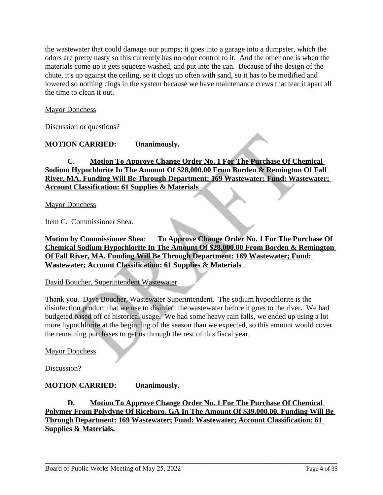the wastewater that could damage our pumps; it goes into a garage into a dumpster, which the odors are pretty nasty so this currently has no odor control to it. And the other one is when the materials come up it gets squeeze washed, and put into the can. Because of the design of the chute, it's up against the ceiling, so it clogs up often with sand, so it has to be modified and lowered so nothing clogs in the system because we have maintenance crews that tear it apart all the time to clean it out.

# Mayor Donchess

Discussion or questions?

# **MOTION CARRIED: Unanimously.**

**C. Motion To Approve Change Order No. 1 For The Purchase Of Chemical Sodium Hypochlorite In The Amount Of \$28,000.00 From Borden & Remington Of Fall River, MA. Funding Will Be Through Department: 169 Wastewater; Fund: Wastewater; Account Classification: 61 Supplies & Materials** 

Mayor Donchess

Item C. Commissioner Shea.

**Motion by Commissioner Shea**: **To Approve Change Order No. 1 For The Purchase Of Chemical Sodium Hypochlorite In The Amount Of \$28,000.00 From Borden & Remington Of Fall River, MA. Funding Will Be Through Department: 169 Wastewater; Fund: Wastewater; Account Classification: 61 Supplies & Materials** 

### David Boucher, Superintendent Wastewater

Thank you. Dave Boucher, Wastewater Superintendent. The sodium hypochlorite is the disinfection product that we use to disinfect the wastewater before it goes to the river. We had budgeted based off of historical usage. We had some heavy rain falls, we ended up using a lot more hypochlorite at the beginning of the season than we expected, so this amount would cover the remaining purchases to get us through the rest of this fiscal year.

Mayor Donchess

Discussion?

# **MOTION CARRIED: Unanimously.**

**D. Motion To Approve Change Order No. 1 For The Purchase Of Chemical Polymer From Polydyne Of Riceboro, GA In The Amount Of \$39,000.00. Funding Will Be Through Department: 169 Wastewater; Fund: Wastewater; Account Classification: 61 Supplies & Materials.**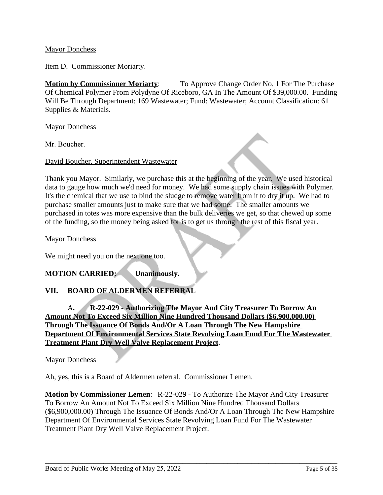### Mayor Donchess

Item D. Commissioner Moriarty.

**Motion by Commissioner Moriarty**: To Approve Change Order No. 1 For The Purchase Of Chemical Polymer From Polydyne Of Riceboro, GA In The Amount Of \$39,000.00. Funding Will Be Through Department: 169 Wastewater; Fund: Wastewater; Account Classification: 61 Supplies & Materials.

Mayor Donchess

Mr. Boucher.

David Boucher, Superintendent Wastewater

Thank you Mayor. Similarly, we purchase this at the beginning of the year. We used historical data to gauge how much we'd need for money. We had some supply chain issues with Polymer. It's the chemical that we use to bind the sludge to remove water from it to dry it up. We had to purchase smaller amounts just to make sure that we had some. The smaller amounts we purchased in totes was more expensive than the bulk deliveries we get, so that chewed up some of the funding, so the money being asked for is to get us through the rest of this fiscal year.

Mayor Donchess

We might need you on the next one too.

# **MOTION CARRIED: Unanimously.**

# **VII. BOARD OF ALDERMEN REFERRAL**

A**. R-22-029 - Authorizing The Mayor And City Treasurer To Borrow An Amount Not To Exceed Six Million Nine Hundred Thousand Dollars (\$6,900,000.00) Through The Issuance Of Bonds And/Or A Loan Through The New Hampshire Department Of Environmental Services State Revolving Loan Fund For The Wastewater Treatment Plant Dry Well Valve Replacement Project**.

**Mayor Donchess** 

Ah, yes, this is a Board of Aldermen referral. Commissioner Lemen.

**Motion by Commissioner Lemen**: R-22-029 - To Authorize The Mayor And City Treasurer To Borrow An Amount Not To Exceed Six Million Nine Hundred Thousand Dollars (\$6,900,000.00) Through The Issuance Of Bonds And/Or A Loan Through The New Hampshire Department Of Environmental Services State Revolving Loan Fund For The Wastewater Treatment Plant Dry Well Valve Replacement Project.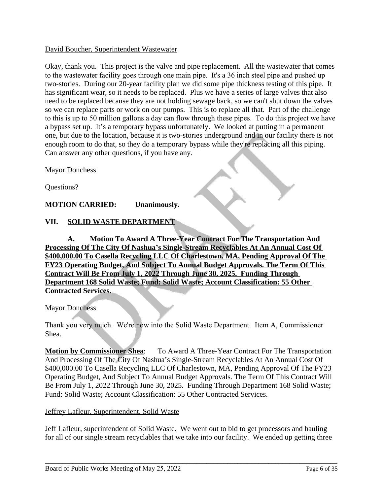### David Boucher, Superintendent Wastewater

Okay, thank you. This project is the valve and pipe replacement. All the wastewater that comes to the wastewater facility goes through one main pipe. It's a 36 inch steel pipe and pushed up two-stories. During our 20-year facility plan we did some pipe thickness testing of this pipe. It has significant wear, so it needs to be replaced. Plus we have a series of large valves that also need to be replaced because they are not holding sewage back, so we can't shut down the valves so we can replace parts or work on our pumps. This is to replace all that. Part of the challenge to this is up to 50 million gallons a day can flow through these pipes. To do this project we have a bypass set up. It's a temporary bypass unfortunately. We looked at putting in a permanent one, but due to the location, because it is two-stories underground and in our facility there is not enough room to do that, so they do a temporary bypass while they're replacing all this piping. Can answer any other questions, if you have any.

Mayor Donchess

Questions?

# **MOTION CARRIED: Unanimously.**

# **VII. SOLID WASTE DEPARTMENT**

**A. Motion To Award A Three-Year Contract For The Transportation And Processing Of The City Of Nashua's Single-Stream Recyclables At An Annual Cost Of \$400,000.00 To Casella Recycling LLC Of Charlestown, MA, Pending Approval Of The FY23 Operating Budget, And Subject To Annual Budget Approvals. The Term Of This Contract Will Be From July 1, 2022 Through June 30, 2025. Funding Through Department 168 Solid Waste; Fund: Solid Waste; Account Classification: 55 Other Contracted Services.**

### Mayor Donchess

Thank you very much. We're now into the Solid Waste Department. Item A, Commissioner Shea.

**Motion by Commissioner Shea:** To Award A Three-Year Contract For The Transportation And Processing Of The City Of Nashua's Single-Stream Recyclables At An Annual Cost Of \$400,000.00 To Casella Recycling LLC Of Charlestown, MA, Pending Approval Of The FY23 Operating Budget, And Subject To Annual Budget Approvals. The Term Of This Contract Will Be From July 1, 2022 Through June 30, 2025. Funding Through Department 168 Solid Waste; Fund: Solid Waste; Account Classification: 55 Other Contracted Services.

### Jeffrey Lafleur, Superintendent, Solid Waste

Jeff Lafleur, superintendent of Solid Waste. We went out to bid to get processors and hauling for all of our single stream recyclables that we take into our facility. We ended up getting three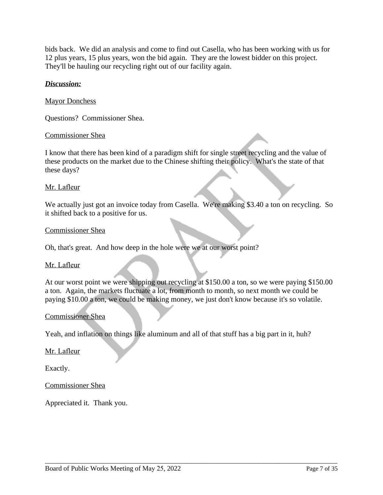bids back. We did an analysis and come to find out Casella, who has been working with us for 12 plus years, 15 plus years, won the bid again. They are the lowest bidder on this project. They'll be hauling our recycling right out of our facility again.

## *Discussion:*

### Mayor Donchess

Questions? Commissioner Shea.

#### Commissioner Shea

I know that there has been kind of a paradigm shift for single street recycling and the value of these products on the market due to the Chinese shifting their policy. What's the state of that these days?

#### Mr. Lafleur

We actually just got an invoice today from Casella. We're making \$3.40 a ton on recycling. So it shifted back to a positive for us.

#### Commissioner Shea

Oh, that's great. And how deep in the hole were we at our worst point?

#### Mr. Lafleur

At our worst point we were shipping out recycling at \$150.00 a ton, so we were paying \$150.00 a ton. Again, the markets fluctuate a lot, from month to month, so next month we could be paying \$10.00 a ton, we could be making money, we just don't know because it's so volatile.

\_\_\_\_\_\_\_\_\_\_\_\_\_\_\_\_\_\_\_\_\_\_\_\_\_\_\_\_\_\_\_\_\_\_\_\_\_\_\_\_\_\_\_\_\_\_\_\_\_\_\_\_\_\_\_\_\_\_\_\_\_\_\_\_\_\_\_\_\_\_\_\_\_\_\_\_\_\_\_\_\_\_\_\_\_

### Commissioner Shea

Yeah, and inflation on things like aluminum and all of that stuff has a big part in it, huh?

### Mr. Lafleur

Exactly.

Commissioner Shea

Appreciated it. Thank you.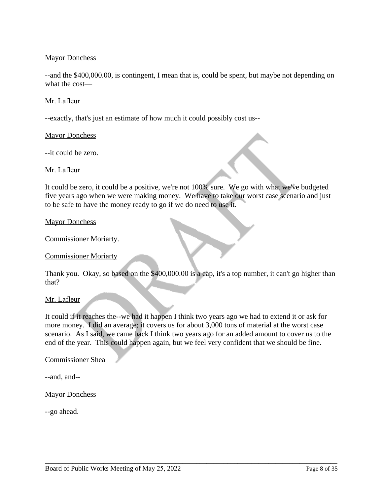# **Mayor Donchess**

--and the \$400,000.00, is contingent, I mean that is, could be spent, but maybe not depending on what the cost—

### Mr. Lafleur

--exactly, that's just an estimate of how much it could possibly cost us--

### Mayor Donchess

--it could be zero.

### Mr. Lafleur

It could be zero, it could be a positive, we're not 100% sure. We go with what we've budgeted five years ago when we were making money. We have to take our worst case scenario and just to be safe to have the money ready to go if we do need to use it.

#### Mayor Donchess

Commissioner Moriarty.

### Commissioner Moriarty

Thank you. Okay, so based on the \$400,000.00 is a cap, it's a top number, it can't go higher than that?

### Mr. Lafleur

It could if it reaches the--we had it happen I think two years ago we had to extend it or ask for more money. I did an average; it covers us for about 3,000 tons of material at the worst case scenario. As I said, we came back I think two years ago for an added amount to cover us to the end of the year. This could happen again, but we feel very confident that we should be fine.

\_\_\_\_\_\_\_\_\_\_\_\_\_\_\_\_\_\_\_\_\_\_\_\_\_\_\_\_\_\_\_\_\_\_\_\_\_\_\_\_\_\_\_\_\_\_\_\_\_\_\_\_\_\_\_\_\_\_\_\_\_\_\_\_\_\_\_\_\_\_\_\_\_\_\_\_\_\_\_\_\_\_\_\_\_

### Commissioner Shea

--and, and--

#### Mayor Donchess

--go ahead.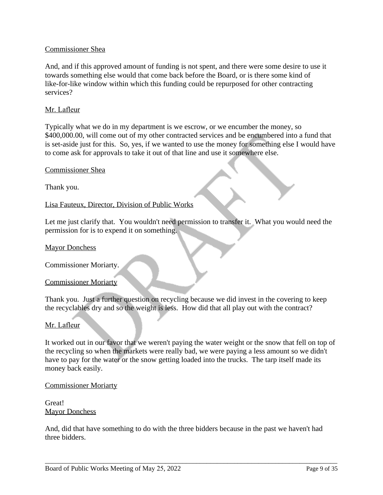### Commissioner Shea

And, and if this approved amount of funding is not spent, and there were some desire to use it towards something else would that come back before the Board, or is there some kind of like-for-like window within which this funding could be repurposed for other contracting services?

### Mr. Lafleur

Typically what we do in my department is we escrow, or we encumber the money, so \$400,000.00, will come out of my other contracted services and be encumbered into a fund that is set-aside just for this. So, yes, if we wanted to use the money for something else I would have to come ask for approvals to take it out of that line and use it somewhere else.

#### Commissioner Shea

Thank you.

Lisa Fauteux, Director, Division of Public Works

Let me just clarify that. You wouldn't need permission to transfer it. What you would need the permission for is to expend it on something.

#### Mayor Donchess

Commissioner Moriarty.

#### Commissioner Moriarty

Thank you. Just a further question on recycling because we did invest in the covering to keep the recyclables dry and so the weight is less. How did that all play out with the contract?

### Mr. Lafleur

It worked out in our favor that we weren't paying the water weight or the snow that fell on top of the recycling so when the markets were really bad, we were paying a less amount so we didn't have to pay for the water or the snow getting loaded into the trucks. The tarp itself made its money back easily.

#### Commissioner Moriarty

Great! **Mayor Donchess** 

And, did that have something to do with the three bidders because in the past we haven't had three bidders.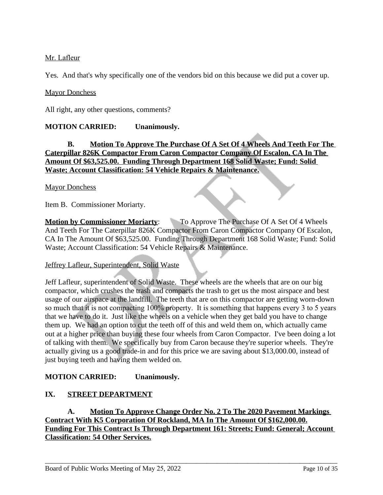# Mr. Lafleur

Yes. And that's why specifically one of the vendors bid on this because we did put a cover up.

# Mayor Donchess

All right, any other questions, comments?

# **MOTION CARRIED: Unanimously.**

# **B. Motion To Approve The Purchase Of A Set Of 4 Wheels And Teeth For The Caterpillar 826K Compactor From Caron Compactor Company Of Escalon, CA In The Amount Of \$63,525.00. Funding Through Department 168 Solid Waste; Fund: Solid Waste; Account Classification: 54 Vehicle Repairs & Maintenance.**

### **Mayor Donchess**

Item B. Commissioner Moriarty.

**Motion by Commissioner Moriarty:** To Approve The Purchase Of A Set Of 4 Wheels And Teeth For The Caterpillar 826K Compactor From Caron Compactor Company Of Escalon, CA In The Amount Of \$63,525.00. Funding Through Department 168 Solid Waste; Fund: Solid Waste; Account Classification: 54 Vehicle Repairs & Maintenance.

# Jeffrey Lafleur, Superintendent, Solid Waste

Jeff Lafleur, superintendent of Solid Waste. These wheels are the wheels that are on our big compactor, which crushes the trash and compacts the trash to get us the most airspace and best usage of our airspace at the landfill. The teeth that are on this compactor are getting worn-down so much that it is not compacting 100% property. It is something that happens every 3 to 5 years that we have to do it. Just like the wheels on a vehicle when they get bald you have to change them up. We had an option to cut the teeth off of this and weld them on, which actually came out at a higher price than buying these four wheels from Caron Compactor. I've been doing a lot of talking with them. We specifically buy from Caron because they're superior wheels. They're actually giving us a good trade-in and for this price we are saving about \$13,000.00, instead of just buying teeth and having them welded on.

# **MOTION CARRIED: Unanimously.**

# **IX. STREET DEPARTMENT**

**A. Motion To Approve Change Order No. 2 To The 2020 Pavement Markings Contract With K5 Corporation Of Rockland, MA In The Amount Of \$162,000.00. Funding For This Contract Is Through Department 161: Streets; Fund: General; Account Classification: 54 Other Services.**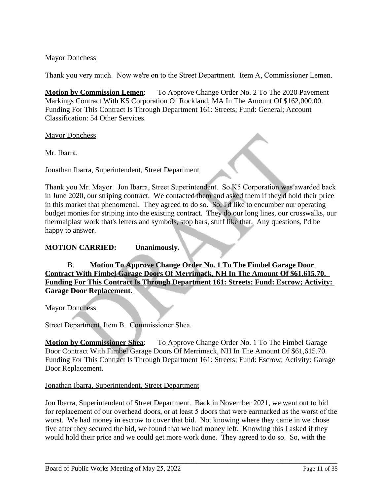# Mayor Donchess

Thank you very much. Now we're on to the Street Department. Item A, Commissioner Lemen.

**Motion by Commission Lemen:** To Approve Change Order No. 2 To The 2020 Pavement Markings Contract With K5 Corporation Of Rockland, MA In The Amount Of \$162,000.00. Funding For This Contract Is Through Department 161: Streets; Fund: General; Account Classification: 54 Other Services.

Mayor Donchess

Mr. Ibarra.

## Jonathan Ibarra, Superintendent, Street Department

Thank you Mr. Mayor. Jon Ibarra, Street Superintendent. So K5 Corporation was awarded back in June 2020, our striping contract. We contacted them and asked them if they'd hold their price in this market that phenomenal. They agreed to do so. So, I'd like to encumber our operating budget monies for striping into the existing contract. They do our long lines, our crosswalks, our thermalplast work that's letters and symbols, stop bars, stuff like that. Any questions, I'd be happy to answer.

## **MOTION CARRIED: Unanimously.**

B. **Motion To Approve Change Order No. 1 To The Fimbel Garage Door Contract With Fimbel Garage Doors Of Merrimack, NH In The Amount Of \$61,615.70. Funding For This Contract Is Through Department 161: Streets; Fund: Escrow; Activity: Garage Door Replacement.**

Mayor Donchess

Street Department, Item B. Commissioner Shea.

**Motion by Commissioner Shea**: To Approve Change Order No. 1 To The Fimbel Garage Door Contract With Fimbel Garage Doors Of Merrimack, NH In The Amount Of \$61,615.70. Funding For This Contract Is Through Department 161: Streets; Fund: Escrow; Activity: Garage Door Replacement.

### Jonathan Ibarra, Superintendent, Street Department

Jon Ibarra, Superintendent of Street Department. Back in November 2021, we went out to bid for replacement of our overhead doors, or at least 5 doors that were earmarked as the worst of the worst. We had money in escrow to cover that bid. Not knowing where they came in we chose five after they secured the bid, we found that we had money left. Knowing this I asked if they would hold their price and we could get more work done. They agreed to do so. So, with the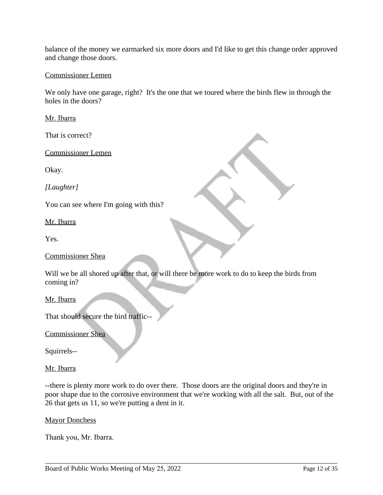balance of the money we earmarked six more doors and I'd like to get this change order approved and change those doors.

### Commissioner Lemen

We only have one garage, right? It's the one that we toured where the birds flew in through the holes in the doors?

Mr. Ibarra

That is correct?

Commissioner Lemen

Okay.

*[Laughter]*

You can see where I'm going with this?

Mr. Ibarra

Yes.

Commissioner Shea

Will we be all shored up after that, or will there be more work to do to keep the birds from coming in?

Mr. Ibarra

That should secure the bird traffic--

Commissioner Shea

Squirrels--

Mr. Ibarra

--there is plenty more work to do over there. Those doors are the original doors and they're in poor shape due to the corrosive environment that we're working with all the salt. But, out of the 26 that gets us 11, so we're putting a dent in it.

Mayor Donchess

Thank you, Mr. Ibarra.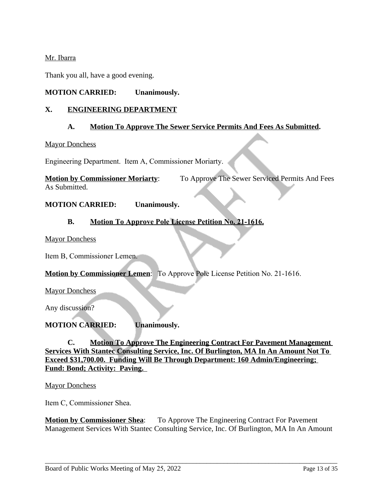## Mr. Ibarra

Thank you all, have a good evening.

# **MOTION CARRIED: Unanimously.**

## **X. ENGINEERING DEPARTMENT**

### **A. Motion To Approve The Sewer Service Permits And Fees As Submitted.**

#### **Mayor Donchess**

Engineering Department. Item A, Commissioner Moriarty.

**Motion by Commissioner Moriarty**: To Approve The Sewer Serviced Permits And Fees As Submitted.

### **MOTION CARRIED: Unanimously.**

## **B. Motion To Approve Pole License Petition No. 21-1616.**

Mayor Donchess

Item B, Commissioner Lemen.

### **Motion by Commissioner Lemen**: To Approve Pole License Petition No. 21-1616.

Mayor Donchess

Any discussion?

# **MOTION CARRIED: Unanimously.**

**C. Motion To Approve The Engineering Contract For Pavement Management Services With Stantec Consulting Service, Inc. Of Burlington, MA In An Amount Not To Exceed \$31,700.00. Funding Will Be Through Department: 160 Admin/Engineering; Fund: Bond; Activity: Paving.** 

Mayor Donchess

Item C, Commissioner Shea.

**Motion by Commissioner Shea:** To Approve The Engineering Contract For Pavement Management Services With Stantec Consulting Service, Inc. Of Burlington, MA In An Amount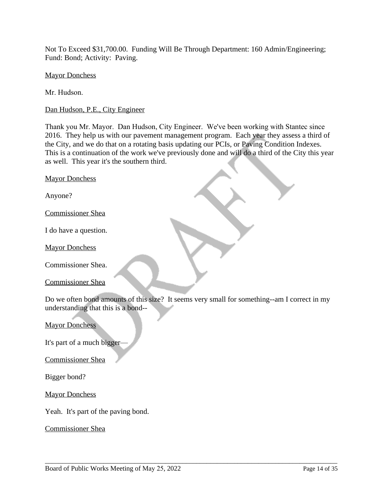Not To Exceed \$31,700.00. Funding Will Be Through Department: 160 Admin/Engineering; Fund: Bond; Activity: Paving.

Mayor Donchess

Mr. Hudson.

Dan Hudson, P.E., City Engineer

Thank you Mr. Mayor. Dan Hudson, City Engineer. We've been working with Stantec since 2016. They help us with our pavement management program. Each year they assess a third of the City, and we do that on a rotating basis updating our PCIs, or Paving Condition Indexes. This is a continuation of the work we've previously done and will do a third of the City this year as well. This year it's the southern third.

Mayor Donchess

Anyone?

Commissioner Shea

I do have a question.

Mayor Donchess

Commissioner Shea.

Commissioner Shea

Do we often bond amounts of this size? It seems very small for something--am I correct in my understanding that this is a bond--

\_\_\_\_\_\_\_\_\_\_\_\_\_\_\_\_\_\_\_\_\_\_\_\_\_\_\_\_\_\_\_\_\_\_\_\_\_\_\_\_\_\_\_\_\_\_\_\_\_\_\_\_\_\_\_\_\_\_\_\_\_\_\_\_\_\_\_\_\_\_\_\_\_\_\_\_\_\_\_\_\_\_\_\_\_

Mayor Donchess

It's part of a much bigger-

Commissioner Shea

Bigger bond?

Mayor Donchess

Yeah. It's part of the paving bond.

Commissioner Shea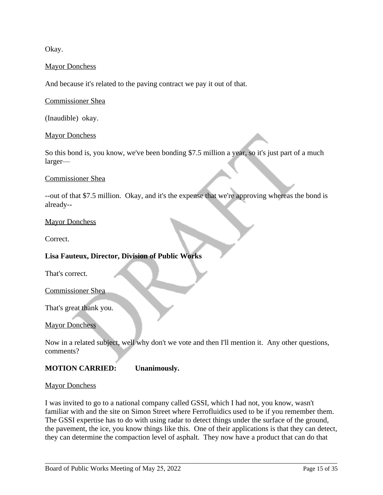Okay.

### **Mayor Donchess**

And because it's related to the paving contract we pay it out of that.

Commissioner Shea

(Inaudible) okay.

#### Mayor Donchess

So this bond is, you know, we've been bonding \$7.5 million a year, so it's just part of a much larger—

#### Commissioner Shea

--out of that \$7.5 million. Okay, and it's the expense that we're approving whereas the bond is already--

### Mayor Donchess

Correct.

### **Lisa Fauteux, Director, Division of Public Works**

That's correct.

Commissioner Shea

That's great thank you.

**Mayor Donchess** 

Now in a related subject, well why don't we vote and then I'll mention it. Any other questions, comments?

### **MOTION CARRIED: Unanimously.**

#### Mayor Donchess

I was invited to go to a national company called GSSI, which I had not, you know, wasn't familiar with and the site on Simon Street where Ferrofluidics used to be if you remember them. The GSSI expertise has to do with using radar to detect things under the surface of the ground, the pavement, the ice, you know things like this. One of their applications is that they can detect, they can determine the compaction level of asphalt. They now have a product that can do that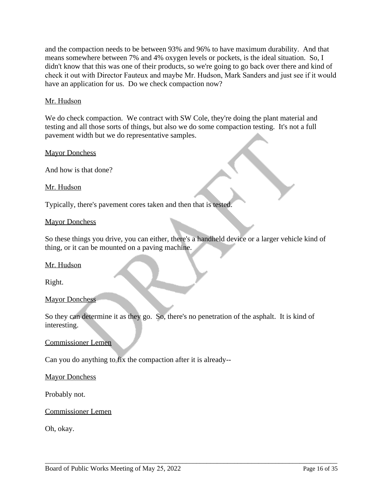and the compaction needs to be between 93% and 96% to have maximum durability. And that means somewhere between 7% and 4% oxygen levels or pockets, is the ideal situation. So, I didn't know that this was one of their products, so we're going to go back over there and kind of check it out with Director Fauteux and maybe Mr. Hudson, Mark Sanders and just see if it would have an application for us. Do we check compaction now?

## Mr. Hudson

We do check compaction. We contract with SW Cole, they're doing the plant material and testing and all those sorts of things, but also we do some compaction testing. It's not a full pavement width but we do representative samples.

Mayor Donchess

And how is that done?

Mr. Hudson

Typically, there's pavement cores taken and then that is tested.

### Mayor Donchess

So these things you drive, you can either, there's a handheld device or a larger vehicle kind of thing, or it can be mounted on a paving machine.

Mr. Hudson

Right.

### Mayor Donchess

So they can determine it as they go. So, there's no penetration of the asphalt. It is kind of interesting.

\_\_\_\_\_\_\_\_\_\_\_\_\_\_\_\_\_\_\_\_\_\_\_\_\_\_\_\_\_\_\_\_\_\_\_\_\_\_\_\_\_\_\_\_\_\_\_\_\_\_\_\_\_\_\_\_\_\_\_\_\_\_\_\_\_\_\_\_\_\_\_\_\_\_\_\_\_\_\_\_\_\_\_\_\_

Commissioner Lemen

Can you do anything to fix the compaction after it is already--

Mayor Donchess

Probably not.

Commissioner Lemen

Oh, okay.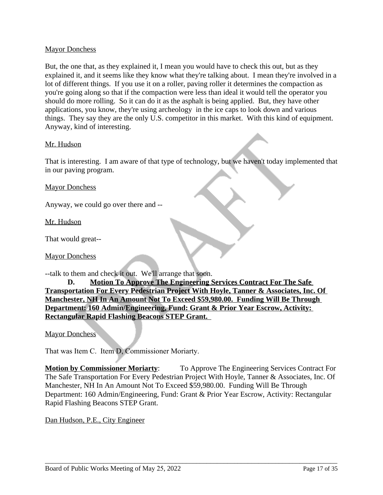### Mayor Donchess

But, the one that, as they explained it, I mean you would have to check this out, but as they explained it, and it seems like they know what they're talking about. I mean they're involved in a lot of different things. If you use it on a roller, paving roller it determines the compaction as you're going along so that if the compaction were less than ideal it would tell the operator you should do more rolling. So it can do it as the asphalt is being applied. But, they have other applications, you know, they're using archeology in the ice caps to look down and various things. They say they are the only U.S. competitor in this market. With this kind of equipment. Anyway, kind of interesting.

### Mr. Hudson

That is interesting. I am aware of that type of technology, but we haven't today implemented that in our paving program.

### Mayor Donchess

Anyway, we could go over there and --

Mr. Hudson

That would great--

Mayor Donchess

--talk to them and check it out. We'll arrange that soon.

**D. Motion To Approve The Engineering Services Contract For The Safe Transportation For Every Pedestrian Project With Hoyle, Tanner & Associates, Inc. Of Manchester, NH In An Amount Not To Exceed \$59,980.00. Funding Will Be Through Department: 160 Admin/Engineering, Fund: Grant & Prior Year Escrow, Activity: Rectangular Rapid Flashing Beacons STEP Grant.** 

Mayor Donchess

That was Item C. Item D, Commissioner Moriarty.

**Motion by Commissioner Moriarty**: To Approve The Engineering Services Contract For The Safe Transportation For Every Pedestrian Project With Hoyle, Tanner & Associates, Inc. Of Manchester, NH In An Amount Not To Exceed \$59,980.00. Funding Will Be Through Department: 160 Admin/Engineering, Fund: Grant & Prior Year Escrow, Activity: Rectangular Rapid Flashing Beacons STEP Grant.

\_\_\_\_\_\_\_\_\_\_\_\_\_\_\_\_\_\_\_\_\_\_\_\_\_\_\_\_\_\_\_\_\_\_\_\_\_\_\_\_\_\_\_\_\_\_\_\_\_\_\_\_\_\_\_\_\_\_\_\_\_\_\_\_\_\_\_\_\_\_\_\_\_\_\_\_\_\_\_\_\_\_\_\_\_

Dan Hudson, P.E., City Engineer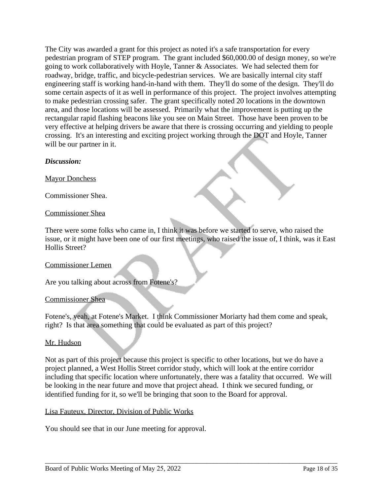The City was awarded a grant for this project as noted it's a safe transportation for every pedestrian program of STEP program. The grant included \$60,000.00 of design money, so we're going to work collaboratively with Hoyle, Tanner & Associates. We had selected them for roadway, bridge, traffic, and bicycle-pedestrian services. We are basically internal city staff engineering staff is working hand-in-hand with them. They'll do some of the design. They'll do some certain aspects of it as well in performance of this project. The project involves attempting to make pedestrian crossing safer. The grant specifically noted 20 locations in the downtown area, and those locations will be assessed. Primarily what the improvement is putting up the rectangular rapid flashing beacons like you see on Main Street. Those have been proven to be very effective at helping drivers be aware that there is crossing occurring and yielding to people crossing. It's an interesting and exciting project working through the DOT and Hoyle, Tanner will be our partner in it.

# *Discussion:*

Mayor Donchess

Commissioner Shea.

## Commissioner Shea

There were some folks who came in, I think it was before we started to serve, who raised the issue, or it might have been one of our first meetings, who raised the issue of, I think, was it East Hollis Street?

### Commissioner Lemen

Are you talking about across from Fotene's?

### Commissioner Shea

Fotene's, yeah, at Fotene's Market. I think Commissioner Moriarty had them come and speak, right? Is that area something that could be evaluated as part of this project?

### Mr. Hudson

Not as part of this project because this project is specific to other locations, but we do have a project planned, a West Hollis Street corridor study, which will look at the entire corridor including that specific location where unfortunately, there was a fatality that occurred. We will be looking in the near future and move that project ahead. I think we secured funding, or identified funding for it, so we'll be bringing that soon to the Board for approval.

\_\_\_\_\_\_\_\_\_\_\_\_\_\_\_\_\_\_\_\_\_\_\_\_\_\_\_\_\_\_\_\_\_\_\_\_\_\_\_\_\_\_\_\_\_\_\_\_\_\_\_\_\_\_\_\_\_\_\_\_\_\_\_\_\_\_\_\_\_\_\_\_\_\_\_\_\_\_\_\_\_\_\_\_\_

### Lisa Fauteux, Director, Division of Public Works

You should see that in our June meeting for approval.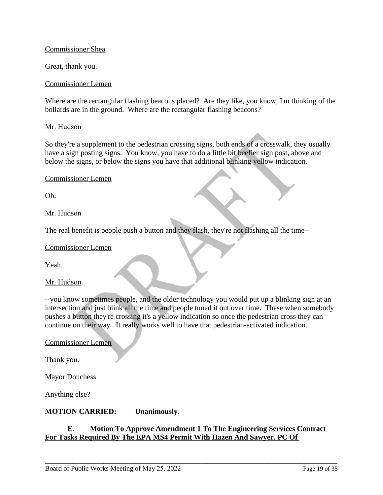### Commissioner Shea

Great, thank you.

#### Commissioner Lemen

Where are the rectangular flashing beacons placed? Are they like, you know, I'm thinking of the bollards are in the ground. Where are the rectangular flashing beacons?

#### Mr. Hudson

So they're a supplement to the pedestrian crossing signs, both ends of a crosswalk, they usually have a sign posting signs. You know, you have to do a little bit beefier sign post, above and below the signs, or below the signs you have that additional blinking yellow indication.

#### Commissioner Lemen

Oh.

### Mr. Hudson

The real benefit is people push a button and they flash, they're not flashing all the time--

#### Commissioner Lemen

Yeah.

### Mr. Hudson

--you know sometimes people, and the older technology you would put up a blinking sign at an intersection and just blink all the time and people tuned it out over time. These when somebody pushes a button they're crossing it's a yellow indication so once the pedestrian cross they can continue on their way. It really works well to have that pedestrian-activated indication.

#### Commissioner Lemen

Thank you.

Mayor Donchess

Anything else?

### **MOTION CARRIED: Unanimously.**

### **E. Motion To Approve Amendment 1 To The Engineering Services Contract For Tasks Required By The EPA MS4 Permit With Hazen And Sawyer, PC Of**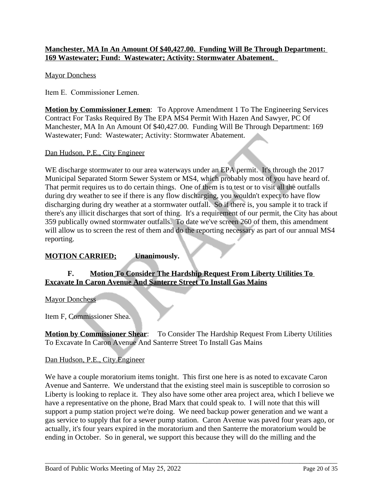# **Manchester, MA In An Amount Of \$40,427.00. Funding Will Be Through Department: 169 Wastewater; Fund: Wastewater; Activity: Stormwater Abatement.**

# Mayor Donchess

Item E. Commissioner Lemen.

**Motion by Commissioner Lemen**: To Approve Amendment 1 To The Engineering Services Contract For Tasks Required By The EPA MS4 Permit With Hazen And Sawyer, PC Of Manchester, MA In An Amount Of \$40,427.00. Funding Will Be Through Department: 169 Wastewater; Fund: Wastewater; Activity: Stormwater Abatement.

## Dan Hudson, P.E., City Engineer

WE discharge stormwater to our area waterways under an EPA permit. It's through the 2017 Municipal Separated Storm Sewer System or MS4, which probably most of you have heard of. That permit requires us to do certain things. One of them is to test or to visit all the outfalls during dry weather to see if there is any flow discharging, you wouldn't expect to have flow discharging during dry weather at a stormwater outfall. So if there is, you sample it to track if there's any illicit discharges that sort of thing. It's a requirement of our permit, the City has about 359 publically owned stormwater outfalls. To date we've screen 260 of them, this amendment will allow us to screen the rest of them and do the reporting necessary as part of our annual MS4 reporting.

# **MOTION CARRIED; Unanimously.**

# **F. Motion To Consider The Hardship Request From Liberty Utilities To Excavate In Caron Avenue And Santerre Street To Install Gas Mains**

Mayor Donchess

Item F, Commissioner Shea.

**Motion by Commissioner Shear:** To Consider The Hardship Request From Liberty Utilities To Excavate In Caron Avenue And Santerre Street To Install Gas Mains

### Dan Hudson, P.E., City Engineer

We have a couple moratorium items tonight. This first one here is as noted to excavate Caron Avenue and Santerre. We understand that the existing steel main is susceptible to corrosion so Liberty is looking to replace it. They also have some other area project area, which I believe we have a representative on the phone, Brad Marx that could speak to. I will note that this will support a pump station project we're doing. We need backup power generation and we want a gas service to supply that for a sewer pump station. Caron Avenue was paved four years ago, or actually, it's four years expired in the moratorium and then Santerre the moratorium would be ending in October. So in general, we support this because they will do the milling and the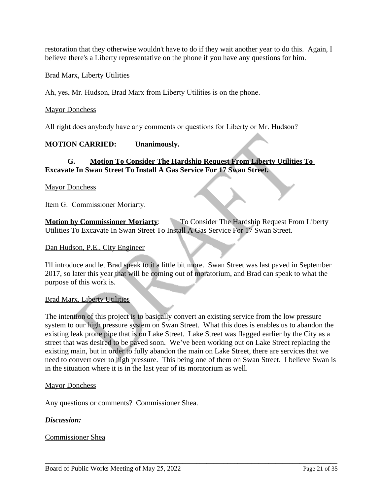restoration that they otherwise wouldn't have to do if they wait another year to do this. Again, I believe there's a Liberty representative on the phone if you have any questions for him.

### Brad Marx, Liberty Utilities

Ah, yes, Mr. Hudson, Brad Marx from Liberty Utilities is on the phone.

### Mayor Donchess

All right does anybody have any comments or questions for Liberty or Mr. Hudson?

# **MOTION CARRIED: Unanimously.**

# **G. Motion To Consider The Hardship Request From Liberty Utilities To Excavate In Swan Street To Install A Gas Service For 17 Swan Street.**

### **Mayor Donchess**

Item G. Commissioner Moriarty.

**Motion by Commissioner Moriarty:** To Consider The Hardship Request From Liberty Utilities To Excavate In Swan Street To Install A Gas Service For 17 Swan Street.

### Dan Hudson, P.E., City Engineer

I'll introduce and let Brad speak to it a little bit more. Swan Street was last paved in September 2017, so later this year that will be coming out of moratorium, and Brad can speak to what the purpose of this work is.

### Brad Marx, Liberty Utilities

The intention of this project is to basically convert an existing service from the low pressure system to our high pressure system on Swan Street. What this does is enables us to abandon the existing leak prone pipe that is on Lake Street. Lake Street was flagged earlier by the City as a street that was desired to be paved soon. We've been working out on Lake Street replacing the existing main, but in order to fully abandon the main on Lake Street, there are services that we need to convert over to high pressure. This being one of them on Swan Street. I believe Swan is in the situation where it is in the last year of its moratorium as well.

\_\_\_\_\_\_\_\_\_\_\_\_\_\_\_\_\_\_\_\_\_\_\_\_\_\_\_\_\_\_\_\_\_\_\_\_\_\_\_\_\_\_\_\_\_\_\_\_\_\_\_\_\_\_\_\_\_\_\_\_\_\_\_\_\_\_\_\_\_\_\_\_\_\_\_\_\_\_\_\_\_\_\_\_\_

#### Mayor Donchess

Any questions or comments? Commissioner Shea.

### *Discussion:*

#### Commissioner Shea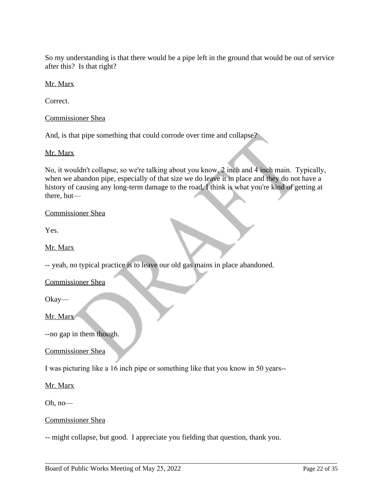So my understanding is that there would be a pipe left in the ground that would be out of service after this? Is that right?

Mr. Marx

Correct.

Commissioner Shea

And, is that pipe something that could corrode over time and collapse?

### Mr. Marx

No, it wouldn't collapse, so we're talking about you know, 2 inch and 4 inch main. Typically, when we abandon pipe, especially of that size we do leave it in place and they do not have a history of causing any long-term damage to the road, I think is what you're kind of getting at there, but—

## Commissioner Shea

Yes.

Mr. Marx

-- yeah, no typical practice is to leave our old gas mains in place abandoned.

Commissioner Shea

Okay—

Mr. Marx

--no gap in them though.

Commissioner Shea

I was picturing like a 16 inch pipe or something like that you know in 50 years--

Mr. Marx

Oh, no—

### Commissioner Shea

-- might collapse, but good. I appreciate you fielding that question, thank you.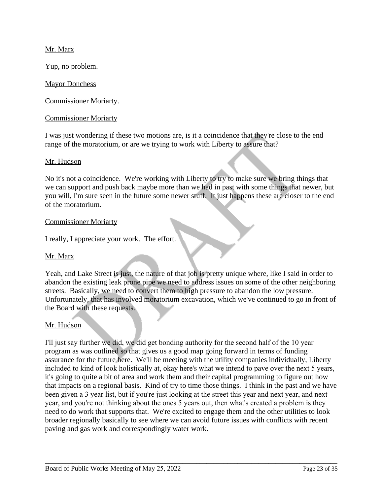## Mr. Marx

Yup, no problem.

### Mayor Donchess

Commissioner Moriarty.

### Commissioner Moriarty

I was just wondering if these two motions are, is it a coincidence that they're close to the end range of the moratorium, or are we trying to work with Liberty to assure that?

#### Mr. Hudson

No it's not a coincidence. We're working with Liberty to try to make sure we bring things that we can support and push back maybe more than we had in past with some things that newer, but you will, I'm sure seen in the future some newer stuff. It just happens these are closer to the end of the moratorium.

#### Commissioner Moriarty

I really, I appreciate your work. The effort.

### Mr. Marx

Yeah, and Lake Street is just, the nature of that job is pretty unique where, like I said in order to abandon the existing leak prone pipe we need to address issues on some of the other neighboring streets. Basically, we need to convert them to high pressure to abandon the low pressure. Unfortunately, that has involved moratorium excavation, which we've continued to go in front of the Board with these requests.

### Mr. Hudson

I'll just say further we did, we did get bonding authority for the second half of the 10 year program as was outlined so that gives us a good map going forward in terms of funding assurance for the future here. We'll be meeting with the utility companies individually, Liberty included to kind of look holistically at, okay here's what we intend to pave over the next 5 years, it's going to quite a bit of area and work them and their capital programming to figure out how that impacts on a regional basis. Kind of try to time those things. I think in the past and we have been given a 3 year list, but if you're just looking at the street this year and next year, and next year, and you're not thinking about the ones 5 years out, then what's created a problem is they need to do work that supports that. We're excited to engage them and the other utilities to look broader regionally basically to see where we can avoid future issues with conflicts with recent paving and gas work and correspondingly water work.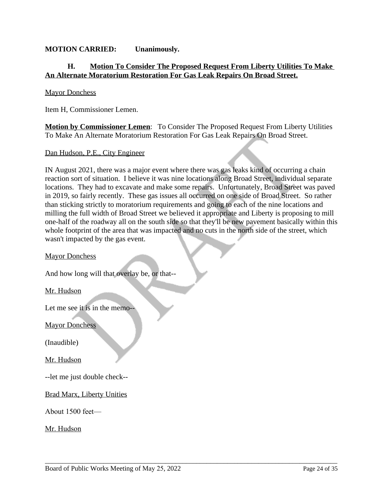## **MOTION CARRIED: Unanimously.**

## **H. Motion To Consider The Proposed Request From Liberty Utilities To Make An Alternate Moratorium Restoration For Gas Leak Repairs On Broad Street.**

#### Mayor Donchess

Item H, Commissioner Lemen.

**Motion by Commissioner Lemen**: To Consider The Proposed Request From Liberty Utilities To Make An Alternate Moratorium Restoration For Gas Leak Repairs On Broad Street.

Dan Hudson, P.E., City Engineer

IN August 2021, there was a major event where there was gas leaks kind of occurring a chain reaction sort of situation. I believe it was nine locations along Broad Street, individual separate locations. They had to excavate and make some repairs. Unfortunately, Broad Street was paved in 2019, so fairly recently. These gas issues all occurred on one side of Broad Street. So rather than sticking strictly to moratorium requirements and going to each of the nine locations and milling the full width of Broad Street we believed it appropriate and Liberty is proposing to mill one-half of the roadway all on the south side so that they'll be new pavement basically within this whole footprint of the area that was impacted and no cuts in the north side of the street, which wasn't impacted by the gas event.

\_\_\_\_\_\_\_\_\_\_\_\_\_\_\_\_\_\_\_\_\_\_\_\_\_\_\_\_\_\_\_\_\_\_\_\_\_\_\_\_\_\_\_\_\_\_\_\_\_\_\_\_\_\_\_\_\_\_\_\_\_\_\_\_\_\_\_\_\_\_\_\_\_\_\_\_\_\_\_\_\_\_\_\_\_

### Mayor Donchess

And how long will that overlay be, or that--

Mr. Hudson

Let me see it is in the memo--

**Mayor Donchess** 

(Inaudible)

Mr. Hudson

--let me just double check--

Brad Marx, Liberty Unities

About 1500 feet—

Mr. Hudson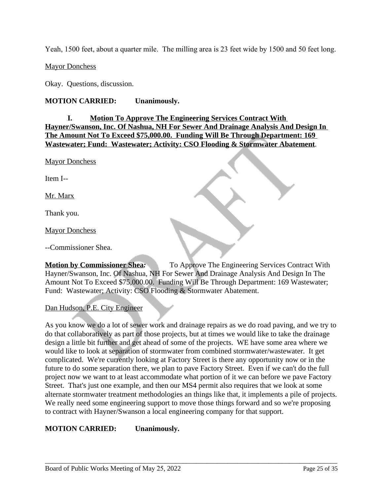Yeah, 1500 feet, about a quarter mile. The milling area is 23 feet wide by 1500 and 50 feet long.

Mayor Donchess

Okay. Questions, discussion.

### **MOTION CARRIED: Unanimously.**

# **I. Motion To Approve The Engineering Services Contract With Hayner/Swanson, Inc. Of Nashua, NH For Sewer And Drainage Analysis And Design In The Amount Not To Exceed \$75,000.00. Funding Will Be Through Department: 169 Wastewater; Fund: Wastewater; Activity: CSO Flooding & Stormwater Abatement**.

Mayor Donchess

Item I--

Mr. Marx

Thank you.

Mayor Donchess

--Commissioner Shea.

**Motion by Commissioner Shea:** To Approve The Engineering Services Contract With Hayner/Swanson, Inc. Of Nashua, NH For Sewer And Drainage Analysis And Design In The Amount Not To Exceed \$75,000.00. Funding Will Be Through Department: 169 Wastewater; Fund: Wastewater; Activity: CSO Flooding & Stormwater Abatement.

### Dan Hudson, P.E. City Engineer

As you know we do a lot of sewer work and drainage repairs as we do road paving, and we try to do that collaboratively as part of those projects, but at times we would like to take the drainage design a little bit further and get ahead of some of the projects. WE have some area where we would like to look at separation of stormwater from combined stormwater/wastewater. It get complicated. We're currently looking at Factory Street is there any opportunity now or in the future to do some separation there, we plan to pave Factory Street. Even if we can't do the full project now we want to at least accommodate what portion of it we can before we pave Factory Street. That's just one example, and then our MS4 permit also requires that we look at some alternate stormwater treatment methodologies an things like that, it implements a pile of projects. We really need some engineering support to move those things forward and so we're proposing to contract with Hayner/Swanson a local engineering company for that support.

\_\_\_\_\_\_\_\_\_\_\_\_\_\_\_\_\_\_\_\_\_\_\_\_\_\_\_\_\_\_\_\_\_\_\_\_\_\_\_\_\_\_\_\_\_\_\_\_\_\_\_\_\_\_\_\_\_\_\_\_\_\_\_\_\_\_\_\_\_\_\_\_\_\_\_\_\_\_\_\_\_\_\_\_\_

# **MOTION CARRIED: Unanimously.**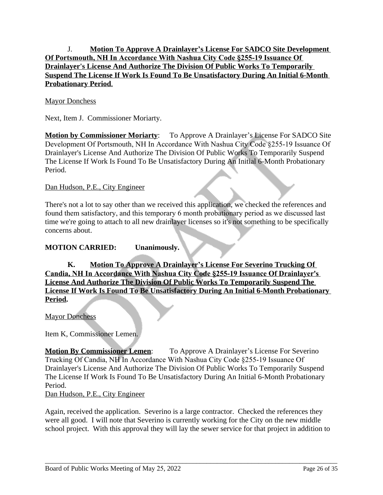# J. **Motion To Approve A Drainlayer's License For SADCO Site Development Of Portsmouth, NH In Accordance With Nashua City Code §255-19 Issuance Of Drainlayer's License And Authorize The Division Of Public Works To Temporarily Suspend The License If Work Is Found To Be Unsatisfactory During An Initial 6-Month Probationary Period**.

## Mayor Donchess

Next, Item J. Commissioner Moriarty.

**Motion by Commissioner Moriarty**: To Approve A Drainlayer's License For SADCO Site Development Of Portsmouth, NH In Accordance With Nashua City Code §255-19 Issuance Of Drainlayer's License And Authorize The Division Of Public Works To Temporarily Suspend The License If Work Is Found To Be Unsatisfactory During An Initial 6-Month Probationary Period.

### Dan Hudson, P.E., City Engineer

There's not a lot to say other than we received this application, we checked the references and found them satisfactory, and this temporary 6 month probationary period as we discussed last time we're going to attach to all new drainlayer licenses so it's not something to be specifically concerns about.

### **MOTION CARRIED: Unanimously.**

**K. Motion To Approve A Drainlayer's License For Severino Trucking Of Candia, NH In Accordance With Nashua City Code §255-19 Issuance Of Drainlayer's License And Authorize The Division Of Public Works To Temporarily Suspend The License If Work Is Found To Be Unsatisfactory During An Initial 6-Month Probationary Period.**

**Mayor Donchess** 

Item K, Commissioner Lemen.

**Motion By Commissioner Lemen**: To Approve A Drainlayer's License For Severino Trucking Of Candia, NH In Accordance With Nashua City Code §255-19 Issuance Of Drainlayer's License And Authorize The Division Of Public Works To Temporarily Suspend The License If Work Is Found To Be Unsatisfactory During An Initial 6-Month Probationary Period.

Dan Hudson, P.E., City Engineer

Again, received the application. Severino is a large contractor. Checked the references they were all good. I will note that Severino is currently working for the City on the new middle school project. With this approval they will lay the sewer service for that project in addition to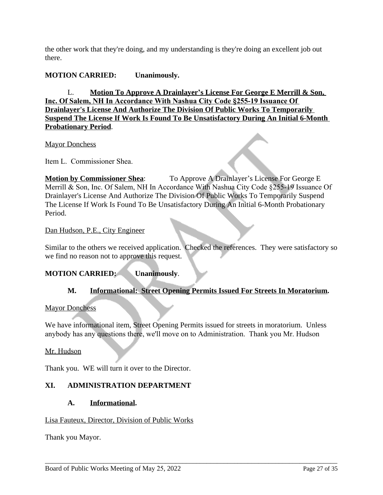the other work that they're doing, and my understanding is they're doing an excellent job out there.

# **MOTION CARRIED: Unanimously.**

L. **Motion To Approve A Drainlayer's License For George E Merrill & Son, Inc. Of Salem, NH In Accordance With Nashua City Code §255-19 Issuance Of Drainlayer's License And Authorize The Division Of Public Works To Temporarily Suspend The License If Work Is Found To Be Unsatisfactory During An Initial 6-Month Probationary Period**.

### Mayor Donchess

Item L. Commissioner Shea.

**Motion by Commissioner Shea**: To Approve A Drainlayer's License For George E Merrill & Son, Inc. Of Salem, NH In Accordance With Nashua City Code §255-19 Issuance Of Drainlayer's License And Authorize The Division Of Public Works To Temporarily Suspend The License If Work Is Found To Be Unsatisfactory During An Initial 6-Month Probationary Period.

### Dan Hudson, P.E., City Engineer

Similar to the others we received application. Checked the references. They were satisfactory so we find no reason not to approve this request.

# **MOTION CARRIED: Unanimously**.

# **M. Informational: Street Opening Permits Issued For Streets In Moratorium.**

### Mayor Donchess

We have informational item, Street Opening Permits issued for streets in moratorium. Unless anybody has any questions there, we'll move on to Administration. Thank you Mr. Hudson

\_\_\_\_\_\_\_\_\_\_\_\_\_\_\_\_\_\_\_\_\_\_\_\_\_\_\_\_\_\_\_\_\_\_\_\_\_\_\_\_\_\_\_\_\_\_\_\_\_\_\_\_\_\_\_\_\_\_\_\_\_\_\_\_\_\_\_\_\_\_\_\_\_\_\_\_\_\_\_\_\_\_\_\_\_

### Mr. Hudson

Thank you. WE will turn it over to the Director.

# **XI. ADMINISTRATION DEPARTMENT**

### **A. Informational.**

### Lisa Fauteux, Director, Division of Public Works

Thank you Mayor.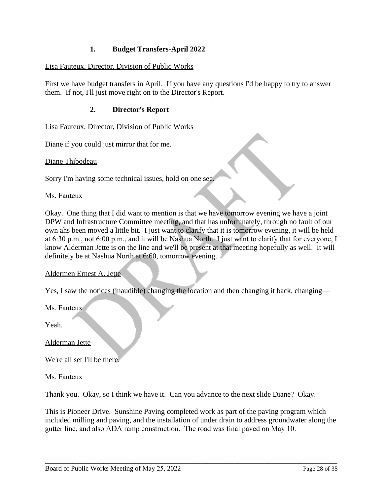# **1. Budget Transfers-April 2022**

## Lisa Fauteux, Director, Division of Public Works

First we have budget transfers in April. If you have any questions I'd be happy to try to answer them. If not, I'll just move right on to the Director's Report.

## **2. Director's Report**

Lisa Fauteux, Director, Division of Public Works

Diane if you could just mirror that for me.

Diane Thibodeau

Sorry I'm having some technical issues, hold on one sec.

#### Ms. Fauteux

Okay. One thing that I did want to mention is that we have tomorrow evening we have a joint DPW and Infrastructure Committee meeting, and that has unfortunately, through no fault of our own ahs been moved a little bit. I just want to clarify that it is tomorrow evening, it will be held at 6:30 p.m., not 6:00 p.m., and it will be Nashua North. I just want to clarify that for everyone, I know Alderman Jette is on the line and we'll be present at that meeting hopefully as well. It will definitely be at Nashua North at 6:60, tomorrow evening.

#### Aldermen Ernest A. Jette

Yes, I saw the notices (inaudible) changing the location and then changing it back, changing—

Ms. Fauteux

Yeah.

Alderman Jette

We're all set I'll be there.

#### Ms. Fauteux

Thank you. Okay, so I think we have it. Can you advance to the next slide Diane? Okay.

This is Pioneer Drive. Sunshine Paving completed work as part of the paving program which included milling and paving, and the installation of under drain to address groundwater along the gutter line, and also ADA ramp construction. The road was final paved on May 10.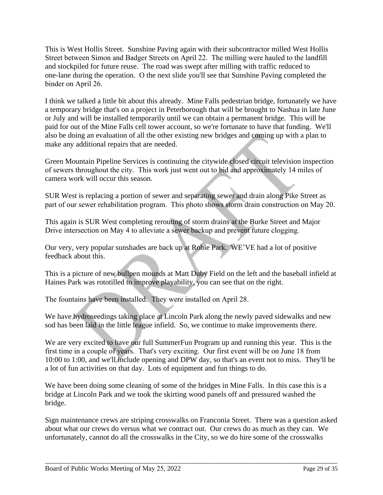This is West Hollis Street. Sunshine Paving again with their subcontractor milled West Hollis Street between Simon and Badger Streets on April 22. The milling were hauled to the landfill and stockpiled for future reuse. The road was swept after milling with traffic reduced to one-lane during the operation. O the next slide you'll see that Sunshine Paving completed the binder on April 26.

I think we talked a little bit about this already. Mine Falls pedestrian bridge, fortunately we have a temporary bridge that's on a project in Peterborough that will be brought to Nashua in late June or July and will be installed temporarily until we can obtain a permanent bridge. This will be paid for out of the Mine Falls cell tower account, so we're fortunate to have that funding. We'll also be doing an evaluation of all the other existing new bridges and coming up with a plan to make any additional repairs that are needed.

Green Mountain Pipeline Services is continuing the citywide closed circuit television inspection of sewers throughout the city. This work just went out to bid and approximately 14 miles of camera work will occur this season.

SUR West is replacing a portion of sewer and separating sewer and drain along Pike Street as part of our sewer rehabilitation program. This photo shows storm drain construction on May 20.

This again is SUR West completing rerouting of storm drains at the Burke Street and Major Drive intersection on May 4 to alleviate a sewer backup and prevent future clogging.

Our very, very popular sunshades are back up at Robie Park. WE'VE had a lot of positive feedback about this.

This is a picture of new bullpen mounds at Matt Duby Field on the left and the baseball infield at Haines Park was rototilled to improve playability, you can see that on the right.

The fountains have been installed. They were installed on April 28.

We have hydroseedings taking place at Lincoln Park along the newly paved sidewalks and new sod has been laid in the little league infield. So, we continue to make improvements there.

We are very excited to have our full SummerFun Program up and running this year. This is the first time in a couple of years. That's very exciting. Our first event will be on June 18 from 10:00 to 1:00, and we'll include opening and DPW day, so that's an event not to miss. They'll be a lot of fun activities on that day. Lots of equipment and fun things to do.

We have been doing some cleaning of some of the bridges in Mine Falls. In this case this is a bridge at Lincoln Park and we took the skirting wood panels off and pressured washed the bridge.

Sign maintenance crews are striping crosswalks on Franconia Street. There was a question asked about what our crews do versus what we contract out. Our crews do as much as they can. We unfortunately, cannot do all the crosswalks in the City, so we do hire some of the crosswalks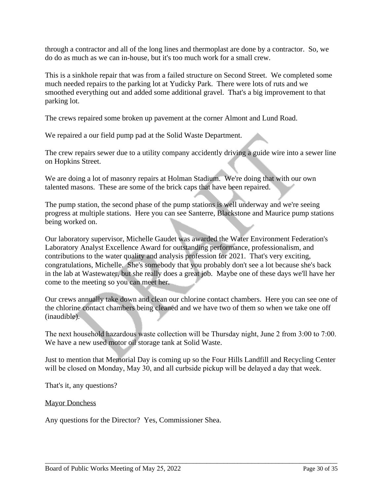through a contractor and all of the long lines and thermoplast are done by a contractor. So, we do do as much as we can in-house, but it's too much work for a small crew.

This is a sinkhole repair that was from a failed structure on Second Street. We completed some much needed repairs to the parking lot at Yudicky Park. There were lots of ruts and we smoothed everything out and added some additional gravel. That's a big improvement to that parking lot.

The crews repaired some broken up pavement at the corner Almont and Lund Road.

We repaired a our field pump pad at the Solid Waste Department.

The crew repairs sewer due to a utility company accidently driving a guide wire into a sewer line on Hopkins Street.

We are doing a lot of masonry repairs at Holman Stadium. We're doing that with our own talented masons. These are some of the brick caps that have been repaired.

The pump station, the second phase of the pump stations is well underway and we're seeing progress at multiple stations. Here you can see Santerre, Blackstone and Maurice pump stations being worked on.

Our laboratory supervisor, Michelle Gaudet was awarded the Water Environment Federation's Laboratory Analyst Excellence Award for outstanding performance, professionalism, and contributions to the water quality and analysis profession for 2021. That's very exciting, congratulations, Michelle. She's somebody that you probably don't see a lot because she's back in the lab at Wastewater, but she really does a great job. Maybe one of these days we'll have her come to the meeting so you can meet her.

Our crews annually take down and clean our chlorine contact chambers. Here you can see one of the chlorine contact chambers being cleaned and we have two of them so when we take one off (inaudible).

The next household hazardous waste collection will be Thursday night, June 2 from 3:00 to 7:00. We have a new used motor oil storage tank at Solid Waste.

Just to mention that Memorial Day is coming up so the Four Hills Landfill and Recycling Center will be closed on Monday, May 30, and all curbside pickup will be delayed a day that week.

\_\_\_\_\_\_\_\_\_\_\_\_\_\_\_\_\_\_\_\_\_\_\_\_\_\_\_\_\_\_\_\_\_\_\_\_\_\_\_\_\_\_\_\_\_\_\_\_\_\_\_\_\_\_\_\_\_\_\_\_\_\_\_\_\_\_\_\_\_\_\_\_\_\_\_\_\_\_\_\_\_\_\_\_\_

That's it, any questions?

### Mayor Donchess

Any questions for the Director? Yes, Commissioner Shea.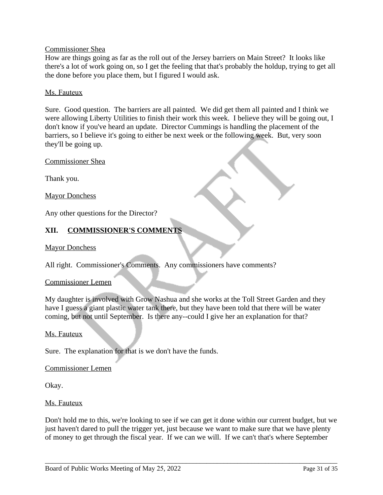### Commissioner Shea

How are things going as far as the roll out of the Jersey barriers on Main Street? It looks like there's a lot of work going on, so I get the feeling that that's probably the holdup, trying to get all the done before you place them, but I figured I would ask.

### Ms. Fauteux

Sure. Good question. The barriers are all painted. We did get them all painted and I think we were allowing Liberty Utilities to finish their work this week. I believe they will be going out, I don't know if you've heard an update. Director Cummings is handling the placement of the barriers, so I believe it's going to either be next week or the following week. But, very soon they'll be going up.

Commissioner Shea

Thank you.

**Mayor Donchess** 

Any other questions for the Director?

# **XII. COMMISSIONER'S COMMENTS**

### Mayor Donchess

All right. Commissioner's Comments. Any commissioners have comments?

#### Commissioner Lemen

My daughter is involved with Grow Nashua and she works at the Toll Street Garden and they have I guess a giant plastic water tank there, but they have been told that there will be water coming, but not until September. Is there any--could I give her an explanation for that?

#### Ms. Fauteux

Sure. The explanation for that is we don't have the funds.

### Commissioner Lemen

Okay.

### Ms. Fauteux

Don't hold me to this, we're looking to see if we can get it done within our current budget, but we just haven't dared to pull the trigger yet, just because we want to make sure that we have plenty of money to get through the fiscal year. If we can we will. If we can't that's where September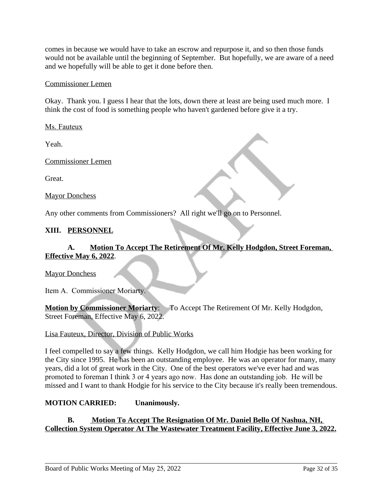comes in because we would have to take an escrow and repurpose it, and so then those funds would not be available until the beginning of September. But hopefully, we are aware of a need and we hopefully will be able to get it done before then.

# Commissioner Lemen

Okay. Thank you. I guess I hear that the lots, down there at least are being used much more. I think the cost of food is something people who haven't gardened before give it a try.

Ms. Fauteux

Yeah.

Commissioner Lemen

Great.

**Mayor Donchess** 

Any other comments from Commissioners? All right we'll go on to Personnel.

# **XIII. PERSONNEL**

# **A. Motion To Accept The Retirement Of Mr. Kelly Hodgdon, Street Foreman, Effective May 6, 2022**.

Mayor Donchess

Item A. Commissioner Moriarty.

**Motion by Commissioner Moriarty:** To Accept The Retirement Of Mr. Kelly Hodgdon, Street Foreman, Effective May 6, 2022.

### Lisa Fauteux, Director, Division of Public Works

I feel compelled to say a few things. Kelly Hodgdon, we call him Hodgie has been working for the City since 1995. He has been an outstanding employee. He was an operator for many, many years, did a lot of great work in the City. One of the best operators we've ever had and was promoted to foreman I think 3 or 4 years ago now. Has done an outstanding job. He will be missed and I want to thank Hodgie for his service to the City because it's really been tremendous.

### **MOTION CARRIED: Unanimously.**

**B. Motion To Accept The Resignation Of Mr. Daniel Bello Of Nashua, NH, Collection System Operator At The Wastewater Treatment Facility, Effective June 3, 2022.**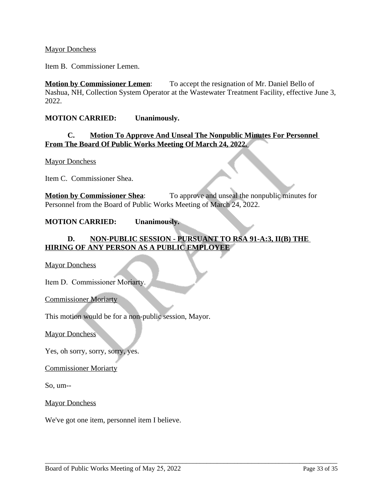### Mayor Donchess

Item B. Commissioner Lemen.

**Motion by Commissioner Lemen:** To accept the resignation of Mr. Daniel Bello of Nashua, NH, Collection System Operator at the Wastewater Treatment Facility, effective June 3, 2022.

### **MOTION CARRIED: Unanimously.**

### **C. Motion To Approve And Unseal The Nonpublic Minutes For Personnel From The Board Of Public Works Meeting Of March 24, 2022.**

Mayor Donchess

Item C. Commissioner Shea.

**Motion by Commissioner Shea**: To approve and unseal the nonpublic minutes for Personnel from the Board of Public Works Meeting of March 24, 2022.

### **MOTION CARRIED: Unanimously.**

# **D. NON-PUBLIC SESSION - PURSUANT TO RSA 91-A:3, II(B) THE HIRING OF ANY PERSON AS A PUBLIC EMPLOYEE**

\_\_\_\_\_\_\_\_\_\_\_\_\_\_\_\_\_\_\_\_\_\_\_\_\_\_\_\_\_\_\_\_\_\_\_\_\_\_\_\_\_\_\_\_\_\_\_\_\_\_\_\_\_\_\_\_\_\_\_\_\_\_\_\_\_\_\_\_\_\_\_\_\_\_\_\_\_\_\_\_\_\_\_\_\_

Mayor Donchess

Item D. Commissioner Moriarty.

Commissioner Moriarty

This motion would be for a non-public session, Mayor.

Mayor Donchess

Yes, oh sorry, sorry, sorry, yes.

Commissioner Moriarty

So, um--

**Mayor Donchess** 

We've got one item, personnel item I believe.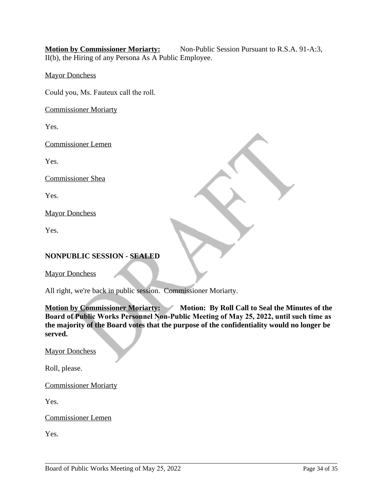**Motion by Commissioner Moriarty:** Non-Public Session Pursuant to R.S.A. 91-A:3, II(b), the Hiring of any Persona As A Public Employee.

Mayor Donchess

Could you, Ms. Fauteux call the roll.

Commissioner Moriarty

Yes.

Commissioner Lemen

Yes.

Commissioner Shea

Yes.

Mayor Donchess

Yes.

# **NONPUBLIC SESSION - SEALED**

**Mayor Donchess** 

All right, we're back in public session. Commissioner Moriarty.

**Motion by Commissioner Moriarty:** Motion: By Roll Call to Seal the Minutes of the **Board of Public Works Personnel Non-Public Meeting of May 25, 2022, until such time as the majority of the Board votes that the purpose of the confidentiality would no longer be served.** 

\_\_\_\_\_\_\_\_\_\_\_\_\_\_\_\_\_\_\_\_\_\_\_\_\_\_\_\_\_\_\_\_\_\_\_\_\_\_\_\_\_\_\_\_\_\_\_\_\_\_\_\_\_\_\_\_\_\_\_\_\_\_\_\_\_\_\_\_\_\_\_\_\_\_\_\_\_\_\_\_\_\_\_\_\_

Mayor Donchess

Roll, please.

Commissioner Moriarty

Yes.

Commissioner Lemen

Yes.